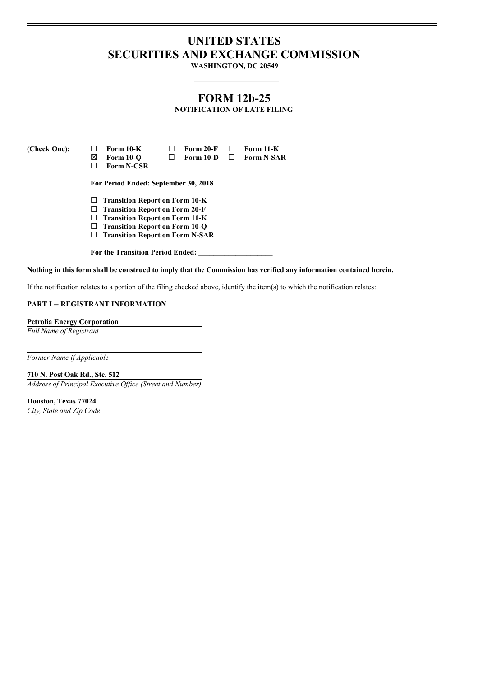# **UNITED STATES SECURITIES AND EXCHANGE COMMISSION**

**WASHINGTON, DC 20549**

# **FORM 12b-25**

**NOTIFICATION OF LATE FILING**

**(Check One): ☐ Form 10-K ☐ Form 20-F ☐ Form 11-K ☒ Form 10-Q ☐ Form 10-D ☐ Form N-SAR ☐ Form N-CSR**

**For Period Ended: September 30, 2018**

- **☐ Transition Report on Form 10-K**
- **☐ Transition Report on Form 20-F**
- **☐ Transition Report on Form 11-K**
- **☐ Transition Report on Form 10-Q ☐ Transition Report on Form N-SAR**
- 

**For the Transition Period Ended: \_\_\_\_\_\_\_\_\_\_\_\_\_\_\_\_\_\_\_\_**

#### Nothing in this form shall be construed to imply that the Commission has verified any information contained herein.

If the notification relates to a portion of the filing checked above, identify the item(s) to which the notification relates:

### **PART I -- REGISTRANT INFORMATION**

**Petrolia Energy Corporation**

*Full Name of Registrant*

*Former Name if Applicable*

**710 N. Post Oak Rd., Ste. 512** *Address of Principal Executive Of ice (Street and Number)*

**Houston, Texas 77024**

*City, State and Zip Code*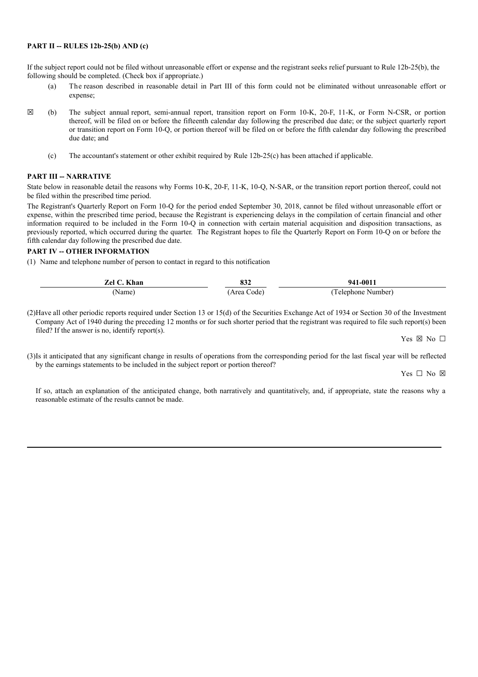#### **PART II -- RULES 12b-25(b) AND (c)**

If the subject report could not be filed without unreasonable effort or expense and the registrant seeks relief pursuant to Rule 12b-25(b), the following should be completed. (Check box if appropriate.)

- (a) The reason described in reasonable detail in Part III of this form could not be eliminated without unreasonable effort or expense;
- **☒** (b) The subject annual report, semi-annual report, transition report on Form 10-K, 20-F, 11-K, or Form N-CSR, or portion thereof, will be filed on or before the fifteenth calendar day following the prescribed due date; or the subject quarterly report or transition report on Form 10-Q, or portion thereof will be filed on or before the fifth calendar day following the prescribed due date; and
	- (c) The accountant's statement or other exhibit required by Rule 12b-25(c) has been attached if applicable.

#### **PART III -- NARRATIVE**

State below in reasonable detail the reasons why Forms 10-K, 20-F, 11-K, 10-Q, N-SAR, or the transition report portion thereof, could not be filed within the prescribed time period.

The Registrant's Quarterly Report on Form 10-Q for the period ended September 30, 2018, cannot be filed without unreasonable effort or expense, within the prescribed time period, because the Registrant is experiencing delays in the compilation of certain financial and other information required to be included in the Form 10-Q in connection with certain material acquisition and disposition transactions, as previously reported, which occurred during the quarter. The Registrant hopes to file the Quarterly Report on Form 10-Q on or before the fifth calendar day following the prescribed due date.

# **PART IV -- OTHER INFORMATION**

(1) Name and telephone number of person to contact in regard to this notification

| Zel C. Khan | 83.Z       | 941-0011           |
|-------------|------------|--------------------|
| Name)       | Area Code) | (Telephone Number) |

(2)Have all other periodic reports required under Section 13 or 15(d) of the Securities Exchange Act of 1934 or Section 30 of the Investment Company Act of 1940 during the preceding 12 months or for such shorter period that the registrant was required to file such report(s) been filed? If the answer is no, identify report(s).

Yes ⊠ No □

(3)Is it anticipated that any significant change in results of operations from the corresponding period for the last fiscal year will be reflected by the earnings statements to be included in the subject report or portion thereof?

Yes □ No ⊠

If so, attach an explanation of the anticipated change, both narratively and quantitatively, and, if appropriate, state the reasons why a reasonable estimate of the results cannot be made.